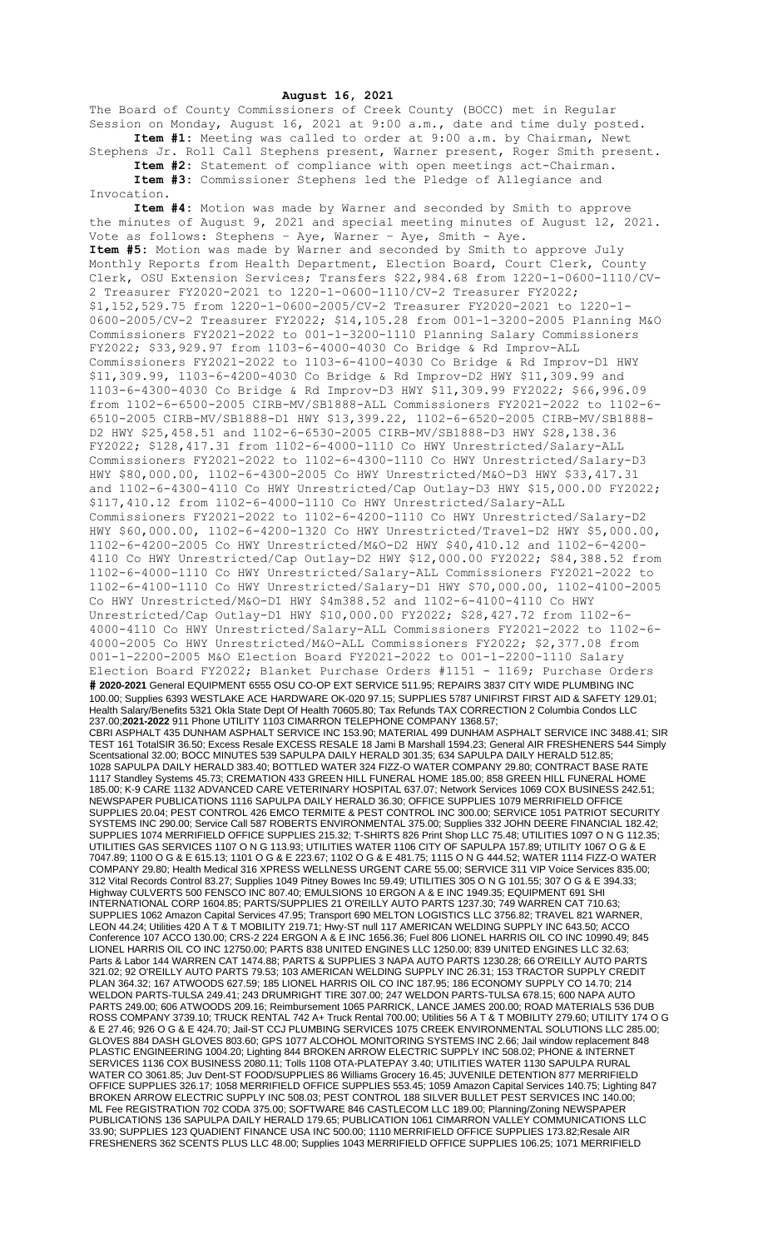## **August 16, 2021**

The Board of County Commissioners of Creek County (BOCC) met in Regular Session on Monday, August 16, 2021 at 9:00 a.m., date and time duly posted. **Item #1:** Meeting was called to order at 9:00 a.m. by Chairman, Newt

Stephens Jr. Roll Call Stephens present, Warner present, Roger Smith present. **Item #2:** Statement of compliance with open meetings act-Chairman. **Item #3:** Commissioner Stephens led the Pledge of Allegiance and

Invocation.

**Item #4:** Motion was made by Warner and seconded by Smith to approve the minutes of August 9, 2021 and special meeting minutes of August 12, 2021. Vote as follows: Stephens – Aye, Warner – Aye, Smith - Aye. **Item #5:** Motion was made by Warner and seconded by Smith to approve July Monthly Reports from Health Department, Election Board, Court Clerk, County Clerk, OSU Extension Services; Transfers \$22,984.68 from 1220-1-0600-1110/CV-2 Treasurer FY2020-2021 to 1220-1-0600-1110/CV-2 Treasurer FY2022; \$1,152,529.75 from 1220-1-0600-2005/CV-2 Treasurer FY2020-2021 to 1220-1- 0600-2005/CV-2 Treasurer FY2022; \$14,105.28 from 001-1-3200-2005 Planning M&O Commissioners FY2021-2022 to 001-1-3200-1110 Planning Salary Commissioners FY2022; \$33,929.97 from 1103-6-4000-4030 Co Bridge & Rd Improv-ALL Commissioners FY2021-2022 to 1103-6-4100-4030 Co Bridge & Rd Improv-D1 HWY \$11,309.99, 1103-6-4200-4030 Co Bridge & Rd Improv-D2 HWY \$11,309.99 and 1103-6-4300-4030 Co Bridge & Rd Improv-D3 HWY \$11,309.99 FY2022; \$66,996.09 from 1102-6-6500-2005 CIRB-MV/SB1888-ALL Commissioners FY2021-2022 to 1102-6- 6510-2005 CIRB-MV/SB1888-D1 HWY \$13,399.22, 1102-6-6520-2005 CIRB-MV/SB1888- D2 HWY \$25,458.51 and 1102-6-6530-2005 CIRB-MV/SB1888-D3 HWY \$28,138.36 FY2022; \$128,417.31 from 1102-6-4000-1110 Co HWY Unrestricted/Salary-ALL Commissioners FY2021-2022 to 1102-6-4300-1110 Co HWY Unrestricted/Salary-D3 HWY \$80,000.00, 1102-6-4300-2005 Co HWY Unrestricted/M&O-D3 HWY \$33,417.31 and 1102-6-4300-4110 Co HWY Unrestricted/Cap Outlay-D3 HWY \$15,000.00 FY2022; \$117,410.12 from 1102-6-4000-1110 Co HWY Unrestricted/Salary-ALL Commissioners FY2021-2022 to 1102-6-4200-1110 Co HWY Unrestricted/Salary-D2 HWY \$60,000.00, 1102-6-4200-1320 Co HWY Unrestricted/Travel-D2 HWY \$5,000.00, 1102-6-4200-2005 Co HWY Unrestricted/M&O-D2 HWY \$40,410.12 and 1102-6-4200- 4110 Co HWY Unrestricted/Cap Outlay-D2 HWY \$12,000.00 FY2022; \$84,388.52 from 1102-6-4000-1110 Co HWY Unrestricted/Salary-ALL Commissioners FY2021-2022 to 1102-6-4100-1110 Co HWY Unrestricted/Salary-D1 HWY \$70,000.00, 1102-4100-2005 Co HWY Unrestricted/M&O-D1 HWY \$4m388.52 and 1102-6-4100-4110 Co HWY Unrestricted/Cap Outlay-D1 HWY \$10,000.00 FY2022; \$28,427.72 from 1102-6- 4000-4110 Co HWY Unrestricted/Salary-ALL Commissioners FY2021-2022 to 1102-6- 4000-2005 Co HWY Unrestricted/M&O-ALL Commissioners FY2022; \$2,377.08 from 001-1-2200-2005 M&O Election Board FY2021-2022 to 001-1-2200-1110 Salary Election Board FY2022; Blanket Purchase Orders #1151 - 1169; Purchase Orders **# 2020-2021** General EQUIPMENT 6555 OSU CO-OP EXT SERVICE 511.95; REPAIRS 3837 CITY WIDE PLUMBING INC 100.00; Supplies 6393 WESTLAKE ACE HARDWARE OK-020 97.15; SUPPLIES 5787 UNIFIRST FIRST AID & SAFETY 129.01; Health Salary/Benefits 5321 Okla State Dept Of Health 70605.80; Tax Refunds TAX CORRECTION 2 Columbia Condos LLC 237.00;**2021-2022** 911 Phone UTILITY 1103 CIMARRON TELEPHONE COMPANY 1368.57; CBRI ASPHALT 435 DUNHAM ASPHALT SERVICE INC 153.90; MATERIAL 499 DUNHAM ASPHALT SERVICE INC 3488.41; SIR TEST 161 TotalSIR 36.50; Excess Resale EXCESS RESALE 18 Jami B Marshall 1594.23; General AIR FRESHENERS 544 Simply Scentsational 32.00; BOCC MINUTES 539 SAPULPA DAILY HERALD 301.35; 634 SAPULPA DAILY HERALD 512.85; 1028 SAPULPA DAILY HERALD 383.40; BOTTLED WATER 324 FIZZ-O WATER COMPANY 29.80; CONTRACT BASE RATE 1117 Standley Systems 45.73; CREMATION 433 GREEN HILL FUNERAL HOME 185.00; 858 GREEN HILL FUNERAL HOME 185.00; K-9 CARE 1132 ADVANCED CARE VETERINARY HOSPITAL 637.07; Network Services 1069 COX BUSINESS 242.51; NEWSPAPER PUBLICATIONS 1116 SAPULPA DAILY HERALD 36.30; OFFICE SUPPLIES 1079 MERRIFIELD OFFICE SUPPLIES 20.04; PEST CONTROL 426 EMCO TERMITE & PEST CONTROL INC 300.00; SERVICE 1051 PATRIOT SECURITY SYSTEMS INC 290.00; Service Call 587 ROBERTS ENVIRONMENTAL 375.00; Supplies 332 JOHN DEERE FINANCIAL 182.42; SUPPLIES 1074 MERRIFIELD OFFICE SUPPLIES 215.32; T-SHIRTS 826 Print Shop LLC 75.48; UTILITIES 1097 O N G 112.35; UTILITIES GAS SERVICES 1107 O N G 113.93; UTILITIES WATER 1106 CITY OF SAPULPA 157.89; UTILITY 1067 O G & E 7047.89; 1100 O G & E 615.13; 1101 O G & E 223.67; 1102 O G & E 481.75; 1115 O N G 444.52; WATER 1114 FIZZ-O WATER COMPANY 29.80; Health Medical 316 XPRESS WELLNESS URGENT CARE 55.00; SERVICE 311 VIP Voice Services 835.00; 312 Vital Records Control 83.27; Supplies 1049 Pitney Bowes Inc 59.49; UTILITIES 305 O N G 101.55; 307 O G & E 394.33; Highway CULVERTS 500 FENSCO INC 807.40; EMULSIONS 10 ERGON A & E INC 1949.35; EQUIPMENT 691 SHI INTERNATIONAL CORP 1604.85; PARTS/SUPPLIES 21 O'REILLY AUTO PARTS 1237.30; 749 WARREN CAT 710.63; SUPPLIES 1062 Amazon Capital Services 47.95; Transport 690 MELTON LOGISTICS LLC 3756.82; TRAVEL 821 WARNER, LEON 44.24; Utilities 420 A T & T MOBILITY 219.71; Hwy-ST null 117 AMERICAN WELDING SUPPLY INC 643.50; ACCO Conference 107 ACCO 130.00; CRS-2 224 ERGON A & E INC 1656.36; Fuel 806 LIONEL HARRIS OIL CO INC 10990.49; 845 LIONEL HARRIS OIL CO INC 12750.00; PARTS 838 UNITED ENGINES LLC 1250.00; 839 UNITED ENGINES LLC 32.63; Parts & Labor 144 WARREN CAT 1474.88; PARTS & SUPPLIES 3 NAPA AUTO PARTS 1230.28; 66 O'REILLY AUTO PARTS 321.02; 92 O'REILLY AUTO PARTS 79.53; 103 AMERICAN WELDING SUPPLY INC 26.31; 153 TRACTOR SUPPLY CREDIT PLAN 364.32; 167 ATWOODS 627.59; 185 LIONEL HARRIS OIL CO INC 187.95; 186 ECONOMY SUPPLY CO 14.70; 214 WELDON PARTS-TULSA 249.41; 243 DRUMRIGHT TIRE 307.00; 247 WELDON PARTS-TULSA 678.15; 600 NAPA AUTO PARTS 249.00; 606 ATWOODS 209.16; Reimbursement 1065 PARRICK, LANCE JAMES 200.00; ROAD MATERIALS 536 DUB ROSS COMPANY 3739.10; TRUCK RENTAL 742 A+ Truck Rental 700.00; Utilities 56 A T & T MOBILITY 279.60; UTILITY 174 O G & E 27.46; 926 O G & E 424.70; Jail-ST CCJ PLUMBING SERVICES 1075 CREEK ENVIRONMENTAL SOLUTIONS LLC 285.00; GLOVES 884 DASH GLOVES 803.60; GPS 1077 ALCOHOL MONITORING SYSTEMS INC 2.66; Jail window replacement 848 PLASTIC ENGINEERING 1004.20; Lighting 844 BROKEN ARROW ELECTRIC SUPPLY INC 508.02; PHONE & INTERNET SERVICES 1136 COX BUSINESS 2080.11; Tolls 1108 OTA-PLATEPAY 3.40; UTILITIES WATER 1130 SAPULPA RURAL WATER CO 3061.85; Juv Dent-ST FOOD/SUPPLIES 86 Williams Grocery 16.45; JUVENILE DETENTION 877 MERRIFIELD OFFICE SUPPLIES 326.17; 1058 MERRIFIELD OFFICE SUPPLIES 553.45; 1059 Amazon Capital Services 140.75; Lighting 847 BROKEN ARROW ELECTRIC SUPPLY INC 508.03; PEST CONTROL 188 SILVER BULLET PEST SERVICES INC 140.00; ML Fee REGISTRATION 702 CODA 375.00; SOFTWARE 846 CASTLECOM LLC 189.00; Planning/Zoning NEWSPAPER PUBLICATIONS 136 SAPULPA DAILY HERALD 179.65; PUBLICATION 1061 CIMARRON VALLEY COMMUNICATIONS LLC 33.90; SUPPLIES 123 QUADIENT FINANCE USA INC 500.00; 1110 MERRIFIELD OFFICE SUPPLIES 173.82;Resale AIR FRESHENERS 362 SCENTS PLUS LLC 48.00; Supplies 1043 MERRIFIELD OFFICE SUPPLIES 106.25; 1071 MERRIFIELD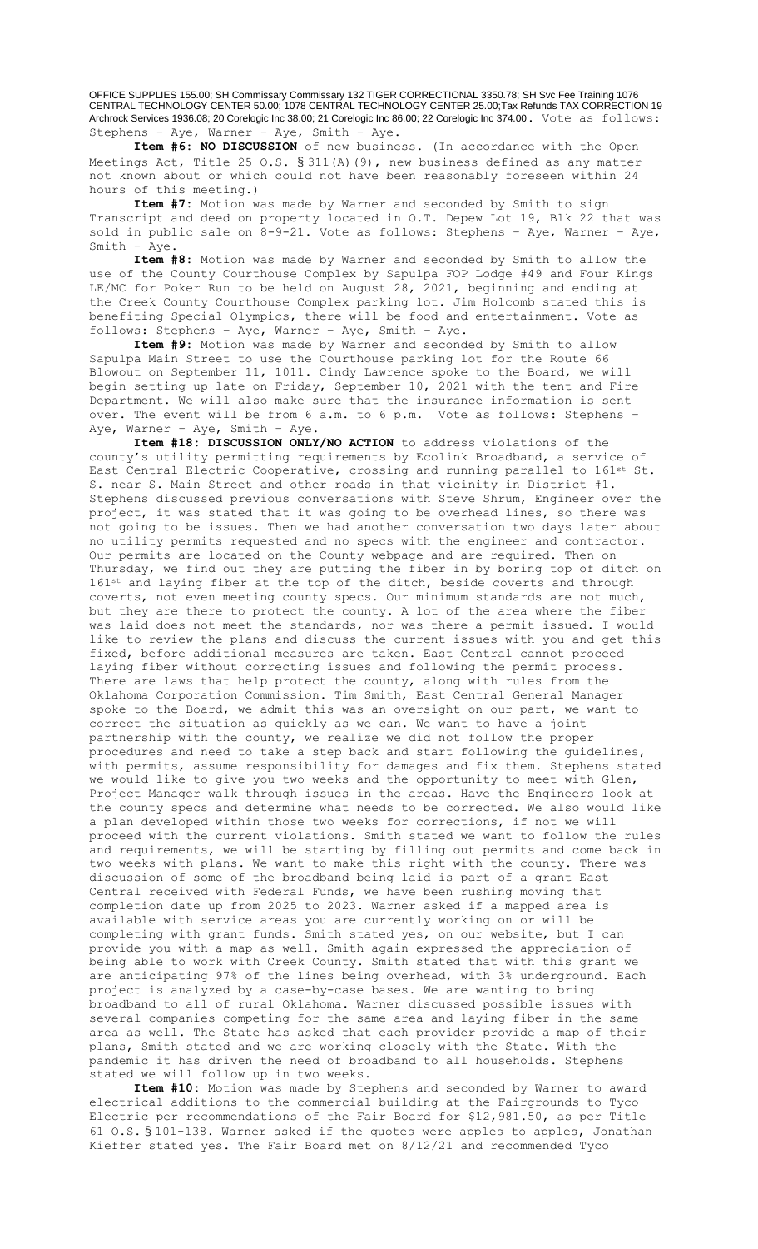OFFICE SUPPLIES 155.00; SH Commissary Commissary 132 TIGER CORRECTIONAL 3350.78; SH Svc Fee Training 1076 CENTRAL TECHNOLOGY CENTER 50.00; 1078 CENTRAL TECHNOLOGY CENTER 25.00;Tax Refunds TAX CORRECTION 19 Archrock Services 1936.08; 20 Corelogic Inc 38.00; 21 Corelogic Inc 86.00; 22 Corelogic Inc 374.00. Vote as follows: Stephens – Aye, Warner – Aye, Smith – Aye.

**Item #6: NO DISCUSSION** of new business. (In accordance with the Open Meetings Act, Title 25 O.S. § 311(A)(9), new business defined as any matter not known about or which could not have been reasonably foreseen within 24 hours of this meeting.)

**Item #7:** Motion was made by Warner and seconded by Smith to sign Transcript and deed on property located in O.T. Depew Lot 19, Blk 22 that was sold in public sale on 8-9-21. Vote as follows: Stephens – Aye, Warner – Aye, Smith – Aye.

**Item #8:** Motion was made by Warner and seconded by Smith to allow the use of the County Courthouse Complex by Sapulpa FOP Lodge #49 and Four Kings LE/MC for Poker Run to be held on August 28, 2021, beginning and ending at the Creek County Courthouse Complex parking lot. Jim Holcomb stated this is benefiting Special Olympics, there will be food and entertainment. Vote as follows: Stephens – Aye, Warner – Aye, Smith – Aye.

**Item #9:** Motion was made by Warner and seconded by Smith to allow Sapulpa Main Street to use the Courthouse parking lot for the Route 66 Blowout on September 11, 1011. Cindy Lawrence spoke to the Board, we will begin setting up late on Friday, September 10, 2021 with the tent and Fire Department. We will also make sure that the insurance information is sent over. The event will be from 6 a.m. to 6 p.m. Vote as follows: Stephens – Aye, Warner – Aye, Smith – Aye.

**Item #18: DISCUSSION ONLY/NO ACTION** to address violations of the county's utility permitting requirements by Ecolink Broadband, a service of East Central Electric Cooperative, crossing and running parallel to 161st St. S. near S. Main Street and other roads in that vicinity in District #1. Stephens discussed previous conversations with Steve Shrum, Engineer over the project, it was stated that it was going to be overhead lines, so there was not going to be issues. Then we had another conversation two days later about no utility permits requested and no specs with the engineer and contractor. Our permits are located on the County webpage and are required. Then on Thursday, we find out they are putting the fiber in by boring top of ditch on 161<sup>st</sup> and laying fiber at the top of the ditch, beside coverts and through coverts, not even meeting county specs. Our minimum standards are not much, but they are there to protect the county. A lot of the area where the fiber was laid does not meet the standards, nor was there a permit issued. I would like to review the plans and discuss the current issues with you and get this fixed, before additional measures are taken. East Central cannot proceed laying fiber without correcting issues and following the permit process. There are laws that help protect the county, along with rules from the Oklahoma Corporation Commission. Tim Smith, East Central General Manager spoke to the Board, we admit this was an oversight on our part, we want to correct the situation as quickly as we can. We want to have a joint partnership with the county, we realize we did not follow the proper procedures and need to take a step back and start following the guidelines, with permits, assume responsibility for damages and fix them. Stephens stated we would like to give you two weeks and the opportunity to meet with Glen, Project Manager walk through issues in the areas. Have the Engineers look at the county specs and determine what needs to be corrected. We also would like a plan developed within those two weeks for corrections, if not we will proceed with the current violations. Smith stated we want to follow the rules and requirements, we will be starting by filling out permits and come back in two weeks with plans. We want to make this right with the county. There was discussion of some of the broadband being laid is part of a grant East Central received with Federal Funds, we have been rushing moving that completion date up from 2025 to 2023. Warner asked if a mapped area is available with service areas you are currently working on or will be completing with grant funds. Smith stated yes, on our website, but I can provide you with a map as well. Smith again expressed the appreciation of being able to work with Creek County. Smith stated that with this grant we are anticipating 97% of the lines being overhead, with 3% underground. Each project is analyzed by a case-by-case bases. We are wanting to bring broadband to all of rural Oklahoma. Warner discussed possible issues with several companies competing for the same area and laying fiber in the same area as well. The State has asked that each provider provide a map of their plans, Smith stated and we are working closely with the State. With the pandemic it has driven the need of broadband to all households. Stephens stated we will follow up in two weeks.

**Item #10:** Motion was made by Stephens and seconded by Warner to award electrical additions to the commercial building at the Fairgrounds to Tyco Electric per recommendations of the Fair Board for \$12,981.50, as per Title 61 O.S. § 101-138. Warner asked if the quotes were apples to apples, Jonathan Kieffer stated yes. The Fair Board met on 8/12/21 and recommended Tyco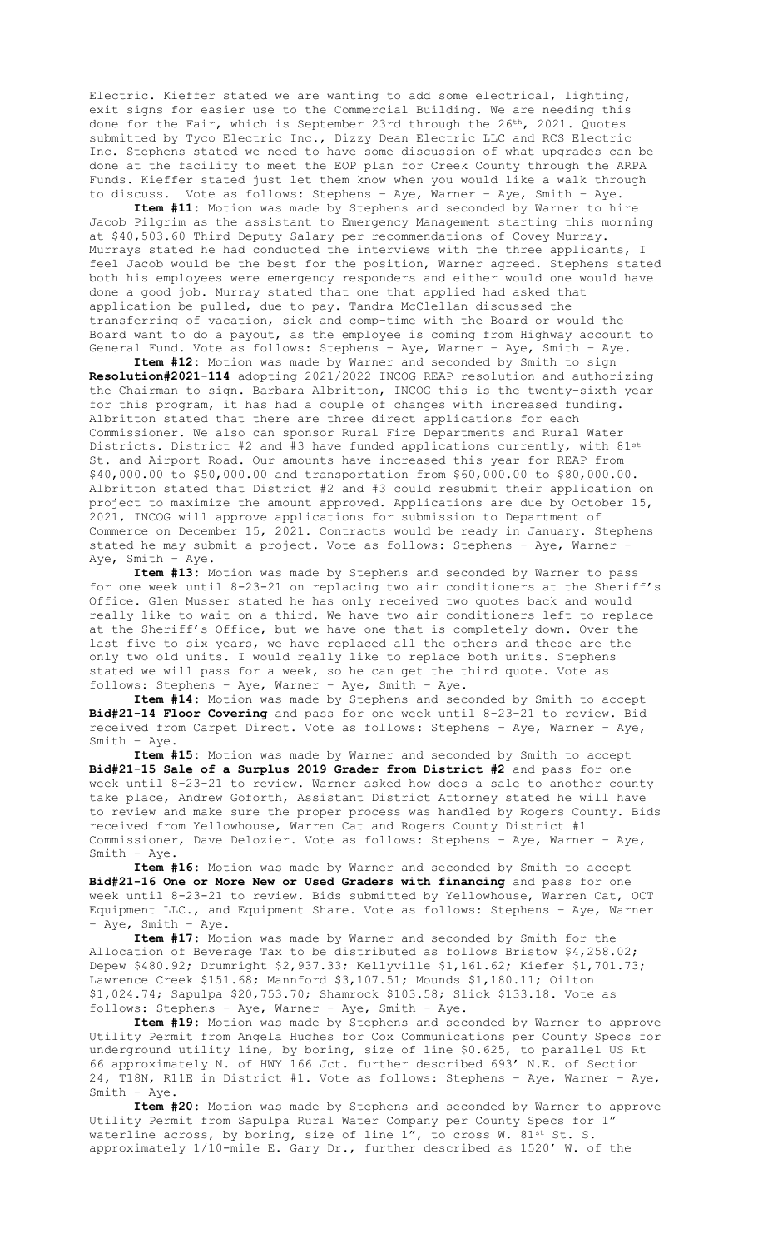Electric. Kieffer stated we are wanting to add some electrical, lighting, exit signs for easier use to the Commercial Building. We are needing this done for the Fair, which is September 23rd through the 26<sup>th</sup>, 2021. Quotes submitted by Tyco Electric Inc., Dizzy Dean Electric LLC and RCS Electric Inc. Stephens stated we need to have some discussion of what upgrades can be done at the facility to meet the EOP plan for Creek County through the ARPA Funds. Kieffer stated just let them know when you would like a walk through to discuss. Vote as follows: Stephens – Aye, Warner – Aye, Smith – Aye.

**Item #11:** Motion was made by Stephens and seconded by Warner to hire Jacob Pilgrim as the assistant to Emergency Management starting this morning at \$40,503.60 Third Deputy Salary per recommendations of Covey Murray. Murrays stated he had conducted the interviews with the three applicants, I feel Jacob would be the best for the position, Warner agreed. Stephens stated both his employees were emergency responders and either would one would have done a good job. Murray stated that one that applied had asked that application be pulled, due to pay. Tandra McClellan discussed the transferring of vacation, sick and comp-time with the Board or would the Board want to do a payout, as the employee is coming from Highway account to General Fund. Vote as follows: Stephens – Aye, Warner – Aye, Smith – Aye.

**Item #12:** Motion was made by Warner and seconded by Smith to sign **Resolution#2021-114** adopting 2021/2022 INCOG REAP resolution and authorizing the Chairman to sign. Barbara Albritton, INCOG this is the twenty-sixth year for this program, it has had a couple of changes with increased funding. Albritton stated that there are three direct applications for each Commissioner. We also can sponsor Rural Fire Departments and Rural Water Districts. District #2 and #3 have funded applications currently, with 81st St. and Airport Road. Our amounts have increased this year for REAP from \$40,000.00 to \$50,000.00 and transportation from \$60,000.00 to \$80,000.00. Albritton stated that District #2 and #3 could resubmit their application on project to maximize the amount approved. Applications are due by October 15, 2021, INCOG will approve applications for submission to Department of Commerce on December 15, 2021. Contracts would be ready in January. Stephens stated he may submit a project. Vote as follows: Stephens – Aye, Warner – Aye, Smith – Aye.

**Item #13:** Motion was made by Stephens and seconded by Warner to pass for one week until 8-23-21 on replacing two air conditioners at the Sheriff's Office. Glen Musser stated he has only received two quotes back and would really like to wait on a third. We have two air conditioners left to replace at the Sheriff's Office, but we have one that is completely down. Over the last five to six years, we have replaced all the others and these are the only two old units. I would really like to replace both units. Stephens stated we will pass for a week, so he can get the third quote. Vote as follows: Stephens – Aye, Warner – Aye, Smith – Aye.

**Item #14:** Motion was made by Stephens and seconded by Smith to accept **Bid#21-14 Floor Covering** and pass for one week until 8-23-21 to review. Bid received from Carpet Direct. Vote as follows: Stephens – Aye, Warner – Aye, Smith – Aye.

**Item #15:** Motion was made by Warner and seconded by Smith to accept **Bid#21-15 Sale of a Surplus 2019 Grader from District #2** and pass for one week until 8-23-21 to review. Warner asked how does a sale to another county take place, Andrew Goforth, Assistant District Attorney stated he will have to review and make sure the proper process was handled by Rogers County. Bids received from Yellowhouse, Warren Cat and Rogers County District #1 Commissioner, Dave Delozier. Vote as follows: Stephens – Aye, Warner – Aye, Smith – Aye.

**Item #16:** Motion was made by Warner and seconded by Smith to accept **Bid#21-16 One or More New or Used Graders with financing** and pass for one week until 8-23-21 to review. Bids submitted by Yellowhouse, Warren Cat, OCT Equipment LLC., and Equipment Share. Vote as follows: Stephens – Aye, Warner – Aye, Smith – Aye.

**Item #17:** Motion was made by Warner and seconded by Smith for the Allocation of Beverage Tax to be distributed as follows Bristow \$4,258.02; Depew \$480.92; Drumright \$2,937.33; Kellyville \$1,161.62; Kiefer \$1,701.73; Lawrence Creek \$151.68; Mannford \$3,107.51; Mounds \$1,180.11; Oilton \$1,024.74; Sapulpa \$20,753.70; Shamrock \$103.58; Slick \$133.18. Vote as follows: Stephens – Aye, Warner – Aye, Smith – Aye.

**Item #19:** Motion was made by Stephens and seconded by Warner to approve Utility Permit from Angela Hughes for Cox Communications per County Specs for underground utility line, by boring, size of line \$0.625, to parallel US Rt 66 approximately N. of HWY 166 Jct. further described 693' N.E. of Section 24, T18N, R11E in District #1. Vote as follows: Stephens – Aye, Warner – Aye, Smith – Aye.

**Item #20:** Motion was made by Stephens and seconded by Warner to approve Utility Permit from Sapulpa Rural Water Company per County Specs for 1" waterline across, by boring, size of line  $1''$ , to cross W. 81st St. S. approximately 1/10-mile E. Gary Dr., further described as 1520' W. of the